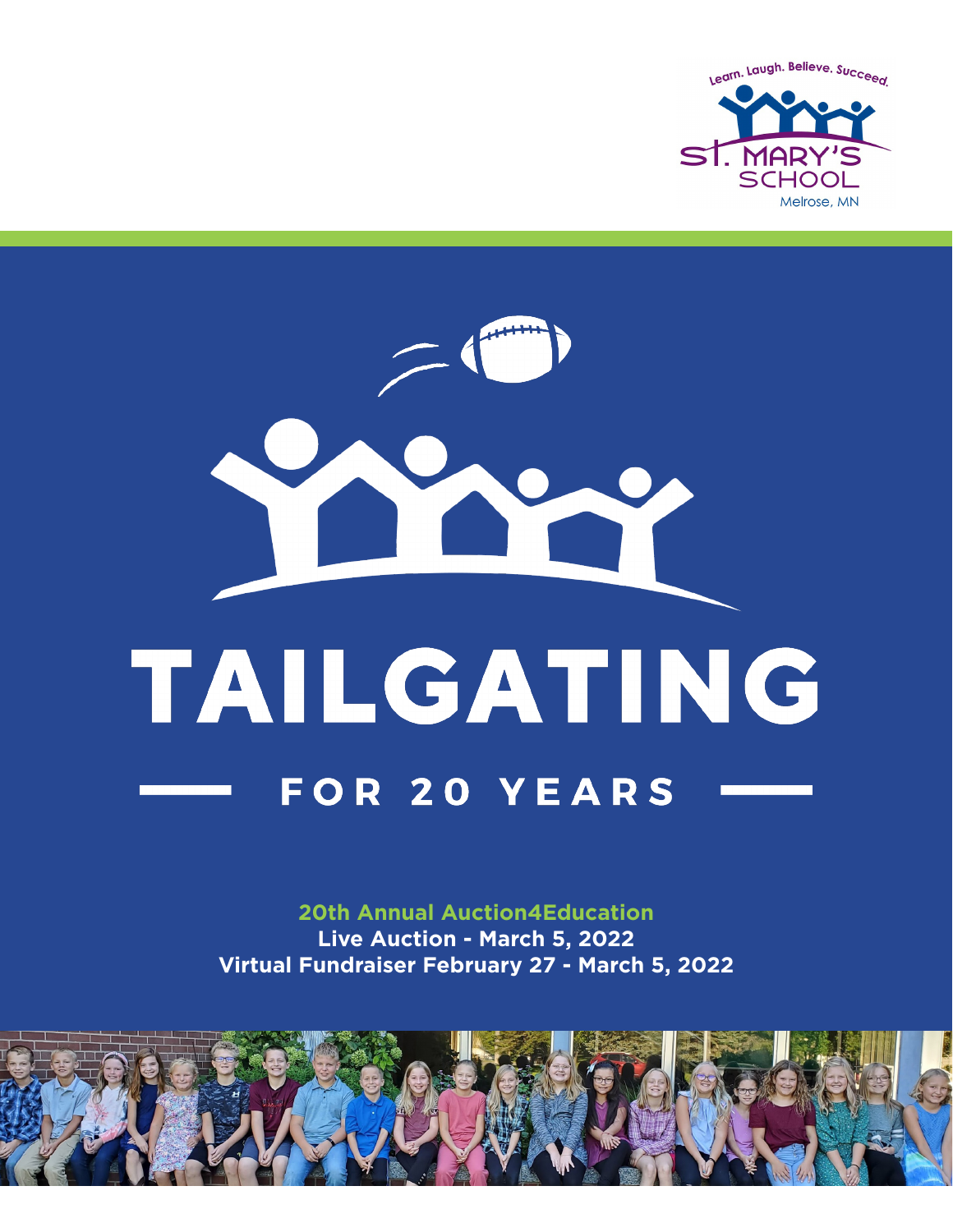

# TAILGATING **FOR 20 YEARS**

**20th Annual Auction4Education Live Auction - March 5, 2022 Virtual Fundraiser February 27 - March 5, 2022**

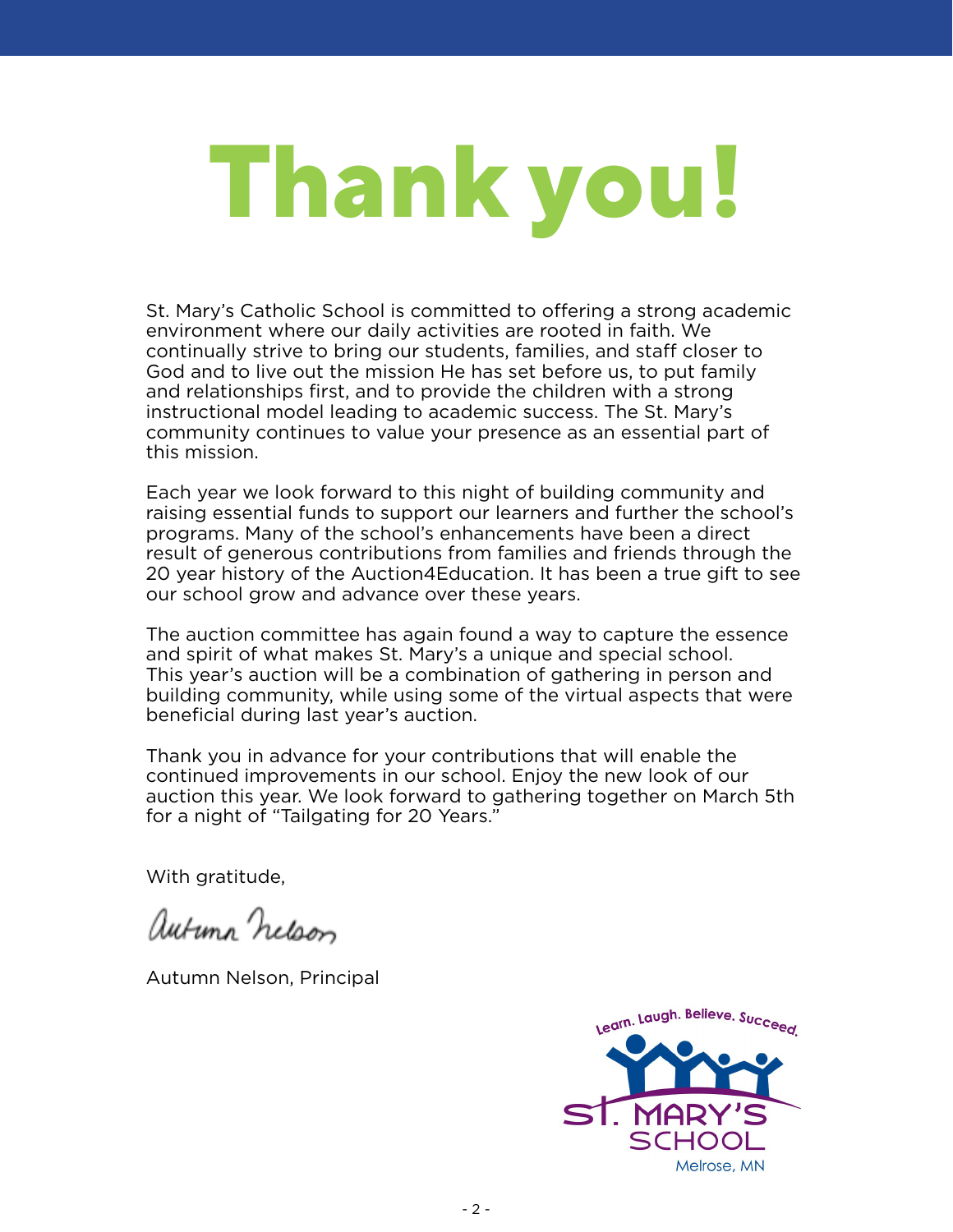## **Thank you!**

St. Mary's Catholic School is committed to offering a strong academic environment where our daily activities are rooted in faith. We continually strive to bring our students, families, and staff closer to God and to live out the mission He has set before us, to put family and relationships first, and to provide the children with a strong instructional model leading to academic success. The St. Mary's community continues to value your presence as an essential part of this mission.

Each year we look forward to this night of building community and raising essential funds to support our learners and further the school's programs. Many of the school's enhancements have been a direct result of generous contributions from families and friends through the 20 year history of the Auction4Education. It has been a true gift to see our school grow and advance over these years.

The auction committee has again found a way to capture the essence and spirit of what makes St. Mary's a unique and special school. This year's auction will be a combination of gathering in person and building community, while using some of the virtual aspects that were beneficial during last year's auction.

Thank you in advance for your contributions that will enable the continued improvements in our school. Enjoy the new look of our auction this year. We look forward to gathering together on March 5th for a night of "Tailgating for 20 Years."

With gratitude.

autunn nelson

Autumn Nelson, Principal

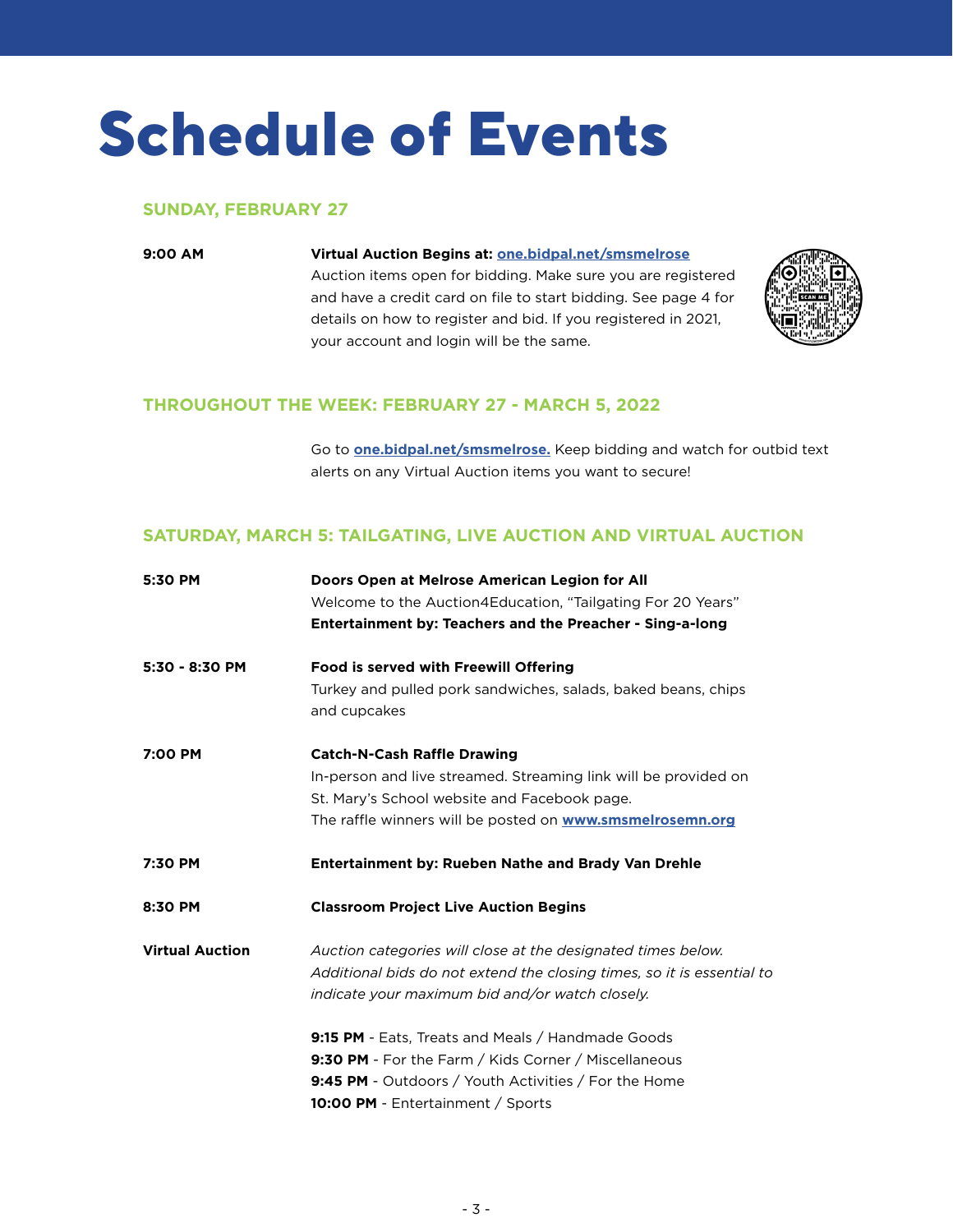### **Schedule of Events**

### **SUNDAY, FEBRUARY 27**

### **9:00 AM Virtual Auction Begins at: one.bidpal.net/smsmelrose**

 Auction items open for bidding. Make sure you are registered and have a credit card on file to start bidding. See page 4 for details on how to register and bid. If you registered in 2021, your account and login will be the same.



### **THROUGHOUT THE WEEK: FEBRUARY 27 - MARCH 5, 2022**

 Go to **one.bidpal.net/smsmelrose.** Keep bidding and watch for outbid text alerts on any Virtual Auction items you want to secure!

### **SATURDAY, MARCH 5: TAILGATING, LIVE AUCTION AND VIRTUAL AUCTION**

| 5:30 PM                | Doors Open at Melrose American Legion for All<br>Welcome to the Auction4Education, "Tailgating For 20 Years"<br>Entertainment by: Teachers and the Preacher - Sing-a-long                                                 |  |  |
|------------------------|---------------------------------------------------------------------------------------------------------------------------------------------------------------------------------------------------------------------------|--|--|
| 5:30 - 8:30 PM         | <b>Food is served with Freewill Offering</b><br>Turkey and pulled pork sandwiches, salads, baked beans, chips                                                                                                             |  |  |
|                        | and cupcakes                                                                                                                                                                                                              |  |  |
| 7:00 PM                | <b>Catch-N-Cash Raffle Drawing</b><br>In-person and live streamed. Streaming link will be provided on<br>St. Mary's School website and Facebook page.<br>The raffle winners will be posted on <b>www.smsmelrosemn.org</b> |  |  |
| 7:30 PM                | <b>Entertainment by: Rueben Nathe and Brady Van Drehle</b>                                                                                                                                                                |  |  |
| 8:30 PM                | <b>Classroom Project Live Auction Begins</b>                                                                                                                                                                              |  |  |
| <b>Virtual Auction</b> |                                                                                                                                                                                                                           |  |  |
|                        | Auction categories will close at the designated times below.<br>Additional bids do not extend the closing times, so it is essential to<br>indicate your maximum bid and/or watch closely.                                 |  |  |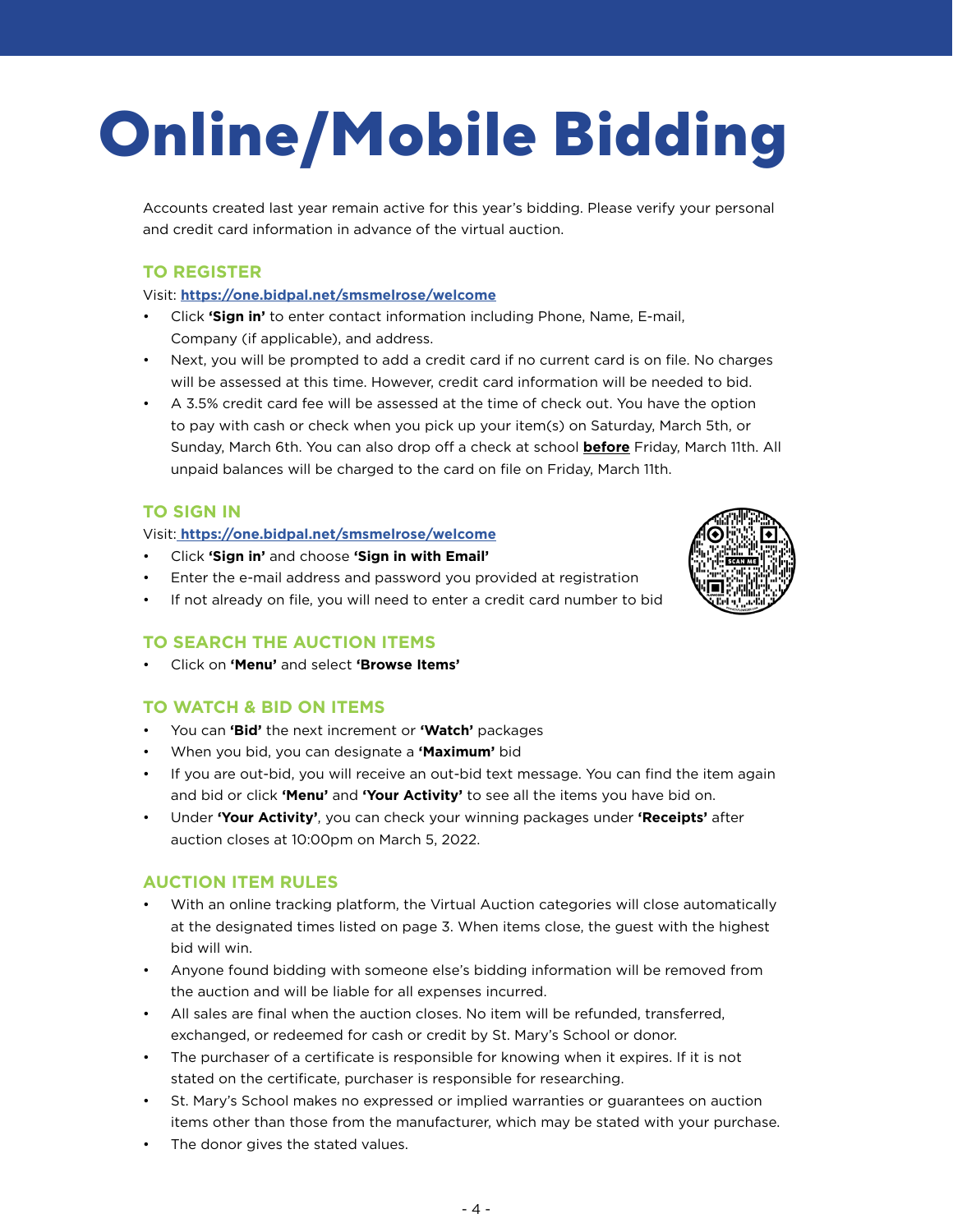### **Online/Mobile Bidding**

Accounts created last year remain active for this year's bidding. Please verify your personal and credit card information in advance of the virtual auction.

### **TO REGISTER**

Visit: **https://one.bidpal.net/smsmelrose/welcome**

- Click **'Sign in'** to enter contact information including Phone, Name, E-mail, Company (if applicable), and address.
- Next, you will be prompted to add a credit card if no current card is on file. No charges will be assessed at this time. However, credit card information will be needed to bid.
- A 3.5% credit card fee will be assessed at the time of check out. You have the option to pay with cash or check when you pick up your item(s) on Saturday, March 5th, or Sunday, March 6th. You can also drop off a check at school **before** Friday, March 11th. All unpaid balances will be charged to the card on file on Friday, March 11th.

### **TO SIGN IN**

### Visit: **https://one.bidpal.net/smsmelrose/welcome**

- Click **'Sign in'** and choose **'Sign in with Email'**
- Enter the e-mail address and password you provided at registration
- If not already on file, you will need to enter a credit card number to bid

### **TO SEARCH THE AUCTION ITEMS**

• Click on **'Menu'** and select **'Browse Items'**

### **TO WATCH & BID ON ITEMS**

- You can **'Bid'** the next increment or **'Watch'** packages
- When you bid, you can designate a **'Maximum'** bid
- If you are out-bid, you will receive an out-bid text message. You can find the item again and bid or click **'Menu'** and **'Your Activity'** to see all the items you have bid on.
- Under **'Your Activity'**, you can check your winning packages under **'Receipts'** after auction closes at 10:00pm on March 5, 2022.

### **AUCTION ITEM RULES**

- With an online tracking platform, the Virtual Auction categories will close automatically at the designated times listed on page 3. When items close, the guest with the highest bid will win.
- Anyone found bidding with someone else's bidding information will be removed from the auction and will be liable for all expenses incurred.
- All sales are final when the auction closes. No item will be refunded, transferred, exchanged, or redeemed for cash or credit by St. Mary's School or donor.
- The purchaser of a certificate is responsible for knowing when it expires. If it is not stated on the certificate, purchaser is responsible for researching.
- St. Mary's School makes no expressed or implied warranties or guarantees on auction items other than those from the manufacturer, which may be stated with your purchase.
- The donor gives the stated values.

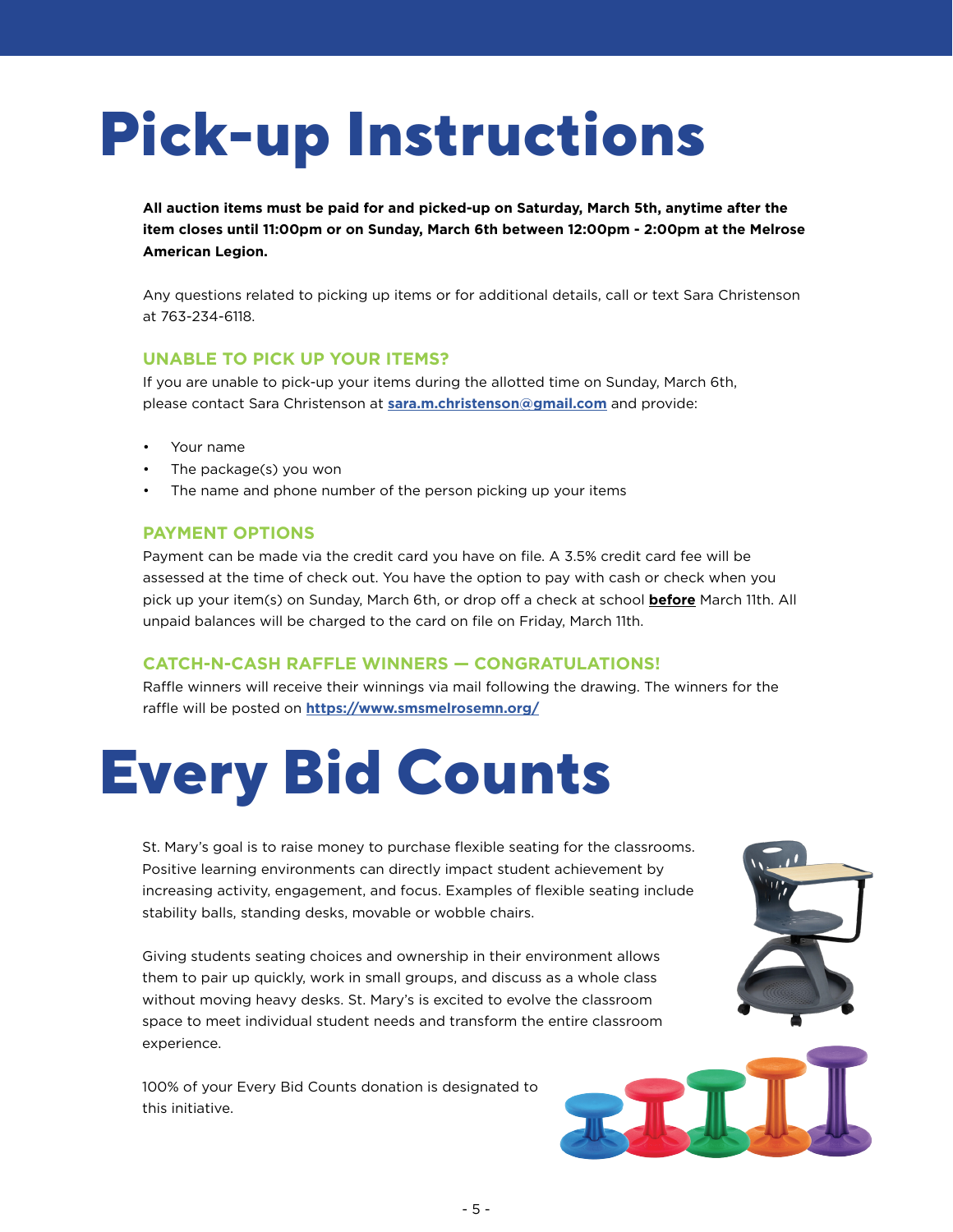### **Pick-up Instructions**

**All auction items must be paid for and picked-up on Saturday, March 5th, anytime after the item closes until 11:00pm or on Sunday, March 6th between 12:00pm - 2:00pm at the Melrose American Legion.**

Any questions related to picking up items or for additional details, call or text Sara Christenson at 763-234-6118.

### **UNABLE TO PICK UP YOUR ITEMS?**

If you are unable to pick-up your items during the allotted time on Sunday, March 6th, please contact Sara Christenson at **sara.m.christenson@gmail.com** and provide:

- Your name
- The package(s) you won
- The name and phone number of the person picking up your items

### **PAYMENT OPTIONS**

Payment can be made via the credit card you have on file. A 3.5% credit card fee will be assessed at the time of check out. You have the option to pay with cash or check when you pick up your item(s) on Sunday, March 6th, or drop off a check at school **before** March 11th. All unpaid balances will be charged to the card on file on Friday, March 11th.

### **CATCH-N-CASH RAFFLE WINNERS — CONGRATULATIONS!**

Raffle winners will receive their winnings via mail following the drawing. The winners for the raffle will be posted on **https://www.smsmelrosemn.org/**

### **Every Bid Counts**

St. Mary's goal is to raise money to purchase flexible seating for the classrooms. Positive learning environments can directly impact student achievement by increasing activity, engagement, and focus. Examples of flexible seating include stability balls, standing desks, movable or wobble chairs.

Giving students seating choices and ownership in their environment allows them to pair up quickly, work in small groups, and discuss as a whole class without moving heavy desks. St. Mary's is excited to evolve the classroom space to meet individual student needs and transform the entire classroom experience.

100% of your Every Bid Counts donation is designated to this initiative.

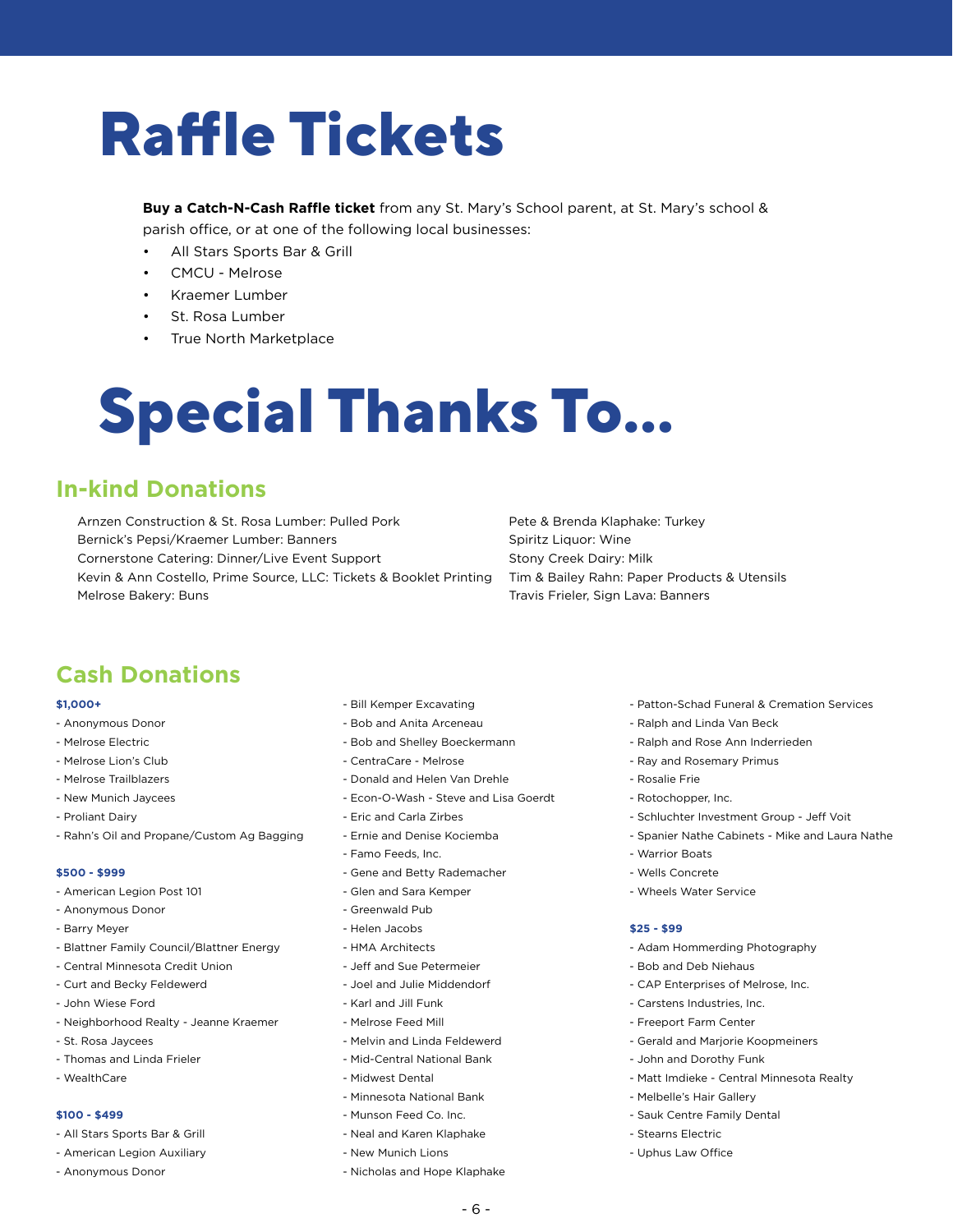### **Raffle Tickets**

**Buy a Catch-N-Cash Raffle ticket** from any St. Mary's School parent, at St. Mary's school & parish office, or at one of the following local businesses:

- All Stars Sports Bar & Grill
- CMCU Melrose
- Kraemer Lumber
- St. Rosa Lumber
- True North Marketplace

### **Special Thanks To...**

### **In-kind Donations**

Arnzen Construction & St. Rosa Lumber: Pulled Pork Bernick's Pepsi/Kraemer Lumber: Banners Cornerstone Catering: Dinner/Live Event Support Kevin & Ann Costello, Prime Source, LLC: Tickets & Booklet Printing Melrose Bakery: Buns

Pete & Brenda Klaphake: Turkey Spiritz Liquor: Wine Stony Creek Dairy: Milk Tim & Bailey Rahn: Paper Products & Utensils Travis Frieler, Sign Lava: Banners

### **Cash Donations**

#### **\$1,000+**

- Anonymous Donor
- Melrose Electric
- Melrose Lion's Club
- Melrose Trailblazers
- New Munich Jaycees
- Proliant Dairy
- Rahn's Oil and Propane/Custom Ag Bagging

#### **\$500 - \$999**

- American Legion Post 101
- Anonymous Donor
- Barry Meyer
- Blattner Family Council/Blattner Energy
- Central Minnesota Credit Union
- Curt and Becky Feldewerd
- John Wiese Ford
- Neighborhood Realty Jeanne Kraemer
- St. Rosa Jaycees
- Thomas and Linda Frieler
- WealthCare

#### **\$100 - \$499**

- All Stars Sports Bar & Grill
- American Legion Auxiliary
- Anonymous Donor
- Bill Kemper Excavating
- Bob and Anita Arceneau
- Bob and Shelley Boeckermann
- CentraCare Melrose
- Donald and Helen Van Drehle
- Econ-O-Wash Steve and Lisa Goerdt
- Eric and Carla Zirbes
- Ernie and Denise Kociemba
- Famo Feeds, Inc.
- Gene and Betty Rademacher
- Glen and Sara Kemper
- Greenwald Pub
- Helen Jacobs
- HMA Architects
- Jeff and Sue Petermeier
- Joel and Julie Middendorf
- Karl and Jill Funk
- Melrose Feed Mill
- Melvin and Linda Feldewerd
- Mid-Central National Bank
- Midwest Dental
- Minnesota National Bank
- Munson Feed Co. Inc.
- Neal and Karen Klaphake
- New Munich Lions
- Nicholas and Hope Klaphake
- Patton-Schad Funeral & Cremation Services
- Ralph and Linda Van Beck
- Ralph and Rose Ann Inderrieden
- Ray and Rosemary Primus
- Rosalie Frie
- Rotochopper, Inc.
- Schluchter Investment Group Jeff Voit
- Spanier Nathe Cabinets Mike and Laura Nathe
- Warrior Boats
- Wells Concrete
- Wheels Water Service

#### **\$25 - \$99**

- Adam Hommerding Photography
- Bob and Deb Niehaus
- CAP Enterprises of Melrose, Inc.
- Carstens Industries, Inc.
- Freeport Farm Center
- Gerald and Marjorie Koopmeiners
- John and Dorothy Funk
- Matt Imdieke Central Minnesota Realty
- Melbelle's Hair Gallery
- Sauk Centre Family Dental
- Stearns Electric
- Uphus Law Office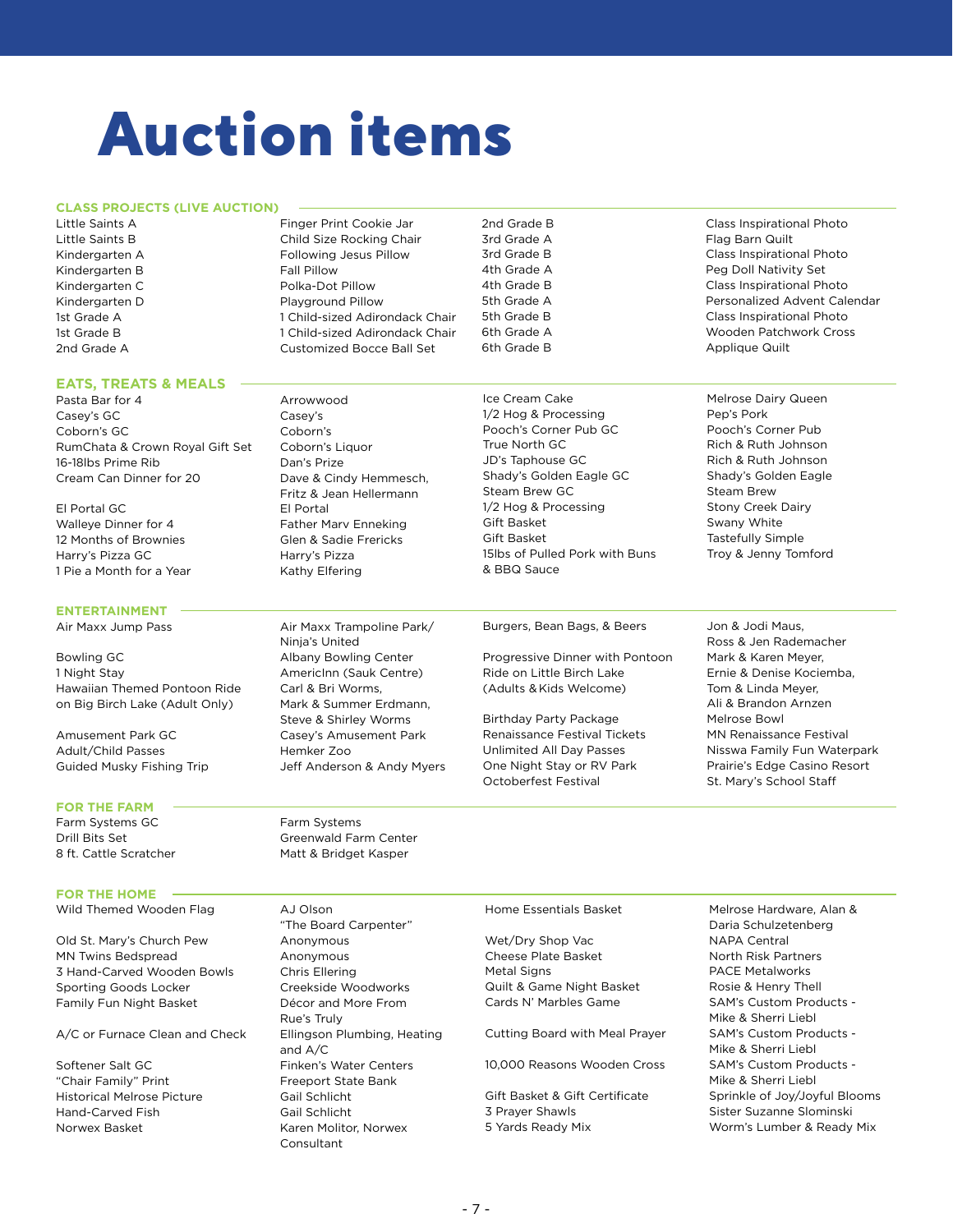### **Auction items**

#### **CLASS PROJECTS (LIVE AUCTION)**

Kindergarten B Fall Pillow

**EATS, TREATS & MEALS**

### Little Saints A **Finger Print Cookie Jar** Little Saints B Child Size Rocking Chair Kindergarten A Following Jesus Pillow Kindergarten C<br>
Polka-Dot Pillow Kindergarten D Playground Pillow 1st Grade A 1 Child-sized Adirondack Chair 1st Grade B 1 Child-sized Adirondack Chair 2nd Grade A Customized Bocce Ball Set

Ice Cream Cake Melrose Dairy Queen 1/2 Hog & Processing Pep's Pork Pooch's Corner Pub GC Pooch's Corner Pub True North GC **Rich & Ruth Johnson** JD's Taphouse GC Rich & Ruth Johnson Shady's Golden Eagle GC Shady's Golden Eagle Steam Brew GC Steam Brew 1/2 Hog & Processing Stony Creek Dairy Gift Basket Swany White Gift Basket Tastefully Simple 15lbs of Pulled Pork with Buns Troy & Jenny Tomford & BBQ Sauce

2nd Grade B Class Inspirational Photo 3rd Grade A **Flag Barn Quilt** 3rd Grade B Class Inspirational Photo 4th Grade A **Peg Doll Nativity Set** 4th Grade B Class Inspirational Photo 5th Grade A Personalized Advent Calendar 5th Grade B Class Inspirational Photo 6th Grade A Wooden Patchwork Cross 6th Grade B Applique Quilt

- 
- 
- Ross & Jen Rademacher Ali & Brandon Arnzen Unlimited All Day Passes Nisswa Family Fun Waterpark One Night Stay or RV Park Prairie's Edge Casino Resort
- Pasta Bar for 4 Arrowwood Casey's GC Casey's Coborn's GC Coborn's RumChata & Crown Royal Gift Set Coborn's Liquor 16-18lbs Prime Rib Dan's Prize Cream Can Dinner for 20 Dave & Cindy Hemmesch, Fritz & Jean Hellermann El Portal GC El Portal Walleye Dinner for 4 Father Marv Enneking 12 Months of Brownies Glen & Sadie Frericks Harry's Pizza GC Harry's Pizza 1 Pie a Month for a Year Kathy Elfering

Air Maxx Jump Pass Air Maxx Trampoline Park/ Ninja's United Bowling GC **Albany Bowling Center** 1 Night Stay **AmericInn (Sauk Centre)** Hawaiian Themed Pontoon Ride Carl & Bri Worms, on Big Birch Lake (Adult Only) Mark & Summer Erdmann, Steve & Shirley Worms Amusement Park GC Casey's Amusement Park Adult/Child Passes Hemker Zoo Guided Musky Fishing Trip Jeff Anderson & Andy Myers

### Burgers, Bean Bags, & Beers Jon & Jodi Maus,

Progressive Dinner with Pontoon Mark & Karen Meyer, Ride on Little Birch Lake Ernie & Denise Kociemba, (Adults & Kids Welcome) Tom & Linda Meyer,

Birthday Party Package Melrose Bowl Renaissance Festival Tickets MN Renaissance Festival Octoberfest Festival St. Mary's School Staff

### **FOR THE FARM**

**ENTERTAINMENT**

#### **FOR THE HOME**

Wild Themed Wooden Flag AJ Olson

Old St. Mary's Church Pew Anonymous MN Twins Bedspread Anonymous 3 Hand-Carved Wooden Bowls Chris Ellering Sporting Goods Locker Creekside Woodworks Family Fun Night Basket Décor and More From

A/C or Furnace Clean and Check Ellingson Plumbing, Heating

Softener Salt GC Finken's Water Centers "Chair Family" Print Freeport State Bank Historical Melrose Picture Gail Schlicht Hand-Carved Fish Gail Schlicht Norwex Basket **Karen Molitor**, Norwex

Farm Systems GC Farm Systems Drill Bits Set Greenwald Farm Center 8 ft. Cattle Scratcher Matt & Bridget Kasper

> "The Board Carpenter" Rue's Truly and A/C Consultant

Wet/Dry Shop Vac NAPA Central Cheese Plate Basket North Risk Partners Metal Signs **PACE Metalworks** Quilt & Game Night Basket Rosie & Henry Thell

#### Cutting Board with Meal Prayer SAM's Custom Products -

10,000 Reasons Wooden Cross SAM's Custom Products -

3 Prayer Shawls Sister Suzanne Slominski

Home Essentials Basket Melrose Hardware, Alan & Daria Schulzetenberg Cards N' Marbles Game SAM's Custom Products - Mike & Sherri Liebl Mike & Sherri Liebl Mike & Sherri Liebl Gift Basket & Gift Certificate Sprinkle of Joy/Joyful Blooms 5 Yards Ready Mix Worm's Lumber & Ready Mix